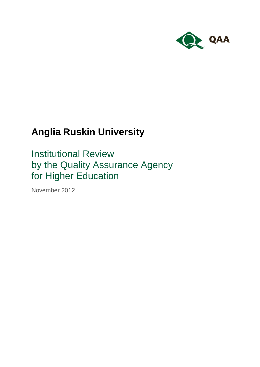

# **Anglia Ruskin University**

Institutional Review by the Quality Assurance Agency for Higher Education

November 2012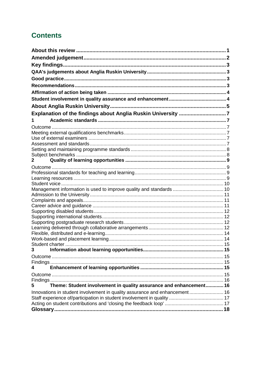## **Contents**

| Explanation of the findings about Anglia Ruskin University 7               |  |
|----------------------------------------------------------------------------|--|
| 1                                                                          |  |
|                                                                            |  |
|                                                                            |  |
|                                                                            |  |
|                                                                            |  |
|                                                                            |  |
| 2                                                                          |  |
|                                                                            |  |
|                                                                            |  |
|                                                                            |  |
|                                                                            |  |
| Management information is used to improve quality and standards  10        |  |
|                                                                            |  |
|                                                                            |  |
|                                                                            |  |
|                                                                            |  |
|                                                                            |  |
|                                                                            |  |
|                                                                            |  |
|                                                                            |  |
|                                                                            |  |
| 3                                                                          |  |
|                                                                            |  |
|                                                                            |  |
| 4                                                                          |  |
|                                                                            |  |
|                                                                            |  |
| Theme: Student involvement in quality assurance and enhancement 16<br>5    |  |
| Innovations in student involvement in quality assurance and enhancement 16 |  |
|                                                                            |  |
|                                                                            |  |
|                                                                            |  |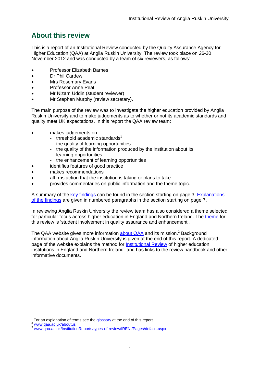## <span id="page-2-0"></span>**About this review**

This is a report of an Institutional Review conducted by the Quality Assurance Agency for Higher Education (QAA) at Anglia Ruskin University. The review took place on 26-30 November 2012 and was conducted by a team of six reviewers, as follows:

- Professor Elizabeth Barnes
- Dr Phil Cardew
- Mrs Rosemary Evans
- Professor Anne Peat
- Mr Nizam Uddin (student reviewer)
- Mr Stephen Murphy (review secretary).

The main purpose of the review was to investigate the higher education provided by Anglia Ruskin University and to make judgements as to whether or not its academic standards and quality meet UK expectations. In this report the QAA review team:

- makes judgements on
	- threshold academic standards $1$
	- the quality of learning opportunities
	- the quality of the information produced by the institution about its learning opportunities
	- the enhancement of learning opportunities
	- identifies features of good practice
- makes recommendations
- affirms action that the institution is taking or plans to take
- provides commentaries on public information and the theme topic.

A summary of the key [findings](#page-4-0) can be found in the section starting on page 3. [Explanations](#page-8-0)  [of the findings](#page-8-0) are given in numbered paragraphs in the section starting on page 7.

In reviewing Anglia Ruskin University the review team has also considered a theme selected for particular focus across higher education in England and Northern Ireland. The [theme](#page-17-2) for this review is 'student involvement in quality assurance and enhancement'.

The QAA website gives more information **about QAA** and its mission.<sup>2</sup> Background information about Anglia Ruskin University is given at the end of this report. A dedicated page of the website explains the method for [Institutional Review](http://www.qaa.ac.uk/InstitutionReports/types-of-review/IRENI/Pages/default.aspx) of higher education institutions in England and Northern Ireland<sup>3</sup> and has links to the review handbook and other informative documents.

-

<sup>&</sup>lt;sup>1</sup> For an explanation of terms see the [glossary](#page-19-0) at the end of this report.

<sup>&</sup>lt;sup>2</sup> [www.qaa.ac.uk/aboutus](http://www.qaa.ac.uk/aboutus)

[www.qaa.ac.uk/InstitutionReports/types-of-review/IRENI/Pages/default.aspx](http://www.qaa.ac.uk/InstitutionReports/types-of-review/IRENI/Pages/default.aspx)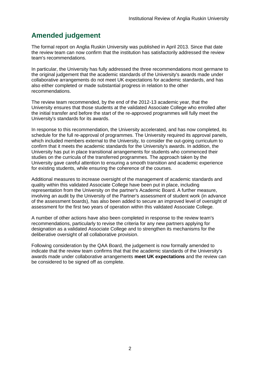## <span id="page-3-0"></span>**Amended judgement**

The formal report on Anglia Ruskin University was published in April 2013. Since that date the review team can now confirm that the institution has satisfactorily addressed the review team's recommendations.

In particular, the University has fully addressed the three recommendations most germane to the original judgement that the academic standards of the University's awards made under collaborative arrangements do not meet UK expectations for academic standards, and has also either completed or made substantial progress in relation to the other recommendations.

The review team recommended, by the end of the 2012-13 academic year, that the University ensures that those students at the validated Associate College who enrolled after the initial transfer and before the start of the re-approved programmes will fully meet the University's standards for its awards.

In response to this recommendation, the University accelerated, and has now completed, its schedule for the full re-approval of programmes. The University required its approval panels, which included members external to the University, to consider the out-going curriculum to confirm that it meets the academic standards for the University's awards. In addition, the University has put in place transitional arrangements for students who commenced their studies on the curricula of the transferred programmes. The approach taken by the University gave careful attention to ensuring a smooth transition and academic experience for existing students, while ensuring the coherence of the courses.

Additional measures to increase oversight of the management of academic standards and quality within this validated Associate College have been put in place, including representation from the University on the partner's Academic Board. A further measure, involving an audit by the University of the Partner's assessment of student work (in advance of the assessment boards), has also been added to secure an improved level of oversight of assessment for the first two years of operation within this validated Associate College.

A number of other actions have also been completed in response to the review team's recommendations, particularly to revise the criteria for any new partners applying for designation as a validated Associate College and to strengthen its mechanisms for the deliberative oversight of all collaborative provision.

Following consideration by the QAA Board, the judgement is now formally amended to indicate that the review team confirms that that the academic standards of the University's awards made under collaborative arrangements **meet UK expectations** and the review can be considered to be signed off as complete.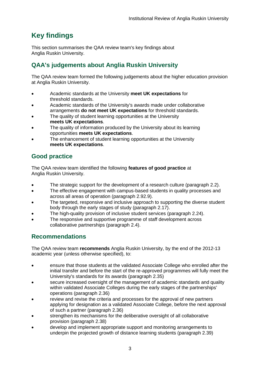## <span id="page-4-0"></span>**Key findings**

This section summarises the QAA review team's key findings about Anglia Ruskin University.

## <span id="page-4-1"></span>**QAA's judgements about Anglia Ruskin University**

The QAA review team formed the following judgements about the higher education provision at Anglia Ruskin University.

- Academic standards at the University **meet UK expectations** for threshold standards.
- Academic standards of the University's awards made under collaborative arrangements **do not meet UK expectations** for threshold standards.
- The quality of student learning opportunities at the University **meets UK expectations**.
- The quality of information produced by the University about its learning opportunities **meets UK expectations**.
- The enhancement of student learning opportunities at the University **meets UK expectations**.

## <span id="page-4-2"></span>**Good practice**

The QAA review team identified the following **features of good practice** at Anglia Ruskin University.

- The strategic support for the development of a research culture (paragraph 2.2).
- The effective engagement with campus-based students in quality processes and across all areas of operation (paragraph 2.[92.9\)](#page-11-2).
- The targeted, responsive and inclusive approach to supporting the diverse student body through the early stages of study (paragraph 2.17).
- The high-quality provision of inclusive student services (paragraph 2.24).
- The responsive and supportive programme of staff development across collaborative partnerships (paragraph 2.4).

## <span id="page-4-3"></span>**Recommendations**

The QAA review team **recommends** Anglia Ruskin University, by the end of the 2012-13 academic year (unless otherwise specified), to:

- ensure that those students at the validated Associate College who enrolled after the initial transfer and before the start of the re-approved programmes will fully meet the University's standards for its awards (paragraph 2.35)
- secure increased oversight of the management of academic standards and quality within validated Associate Colleges during the early stages of the partnerships' operations (paragraph 2.36)
- review and revise the criteria and processes for the approval of new partners applying for designation as a validated Associate College, before the next approval of such a partner (paragraph 2.36)
- strengthen its mechanisms for the deliberative oversight of all collaborative provision (paragraph 2.38)
- develop and implement appropriate support and monitoring arrangements to underpin the projected growth of distance learning students (paragraph 2.39)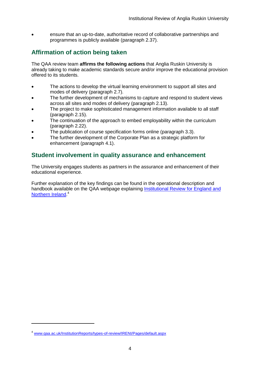ensure that an up-to-date, authoritative record of collaborative partnerships and programmes is publicly available (paragraph 2.37).

### <span id="page-5-0"></span>**Affirmation of action being taken**

The QAA review team **affirms the following actions** that Anglia Ruskin University is already taking to make academic standards secure and/or improve the educational provision offered to its students.

- The actions to develop the virtual learning environment to support all sites and modes of delivery (paragraph 2.7).
- The further development of mechanisms to capture and respond to student views across all sites and modes of delivery (paragraph 2.13).
- The project to make sophisticated management information available to all staff (paragraph 2.15).
- The continuation of the approach to embed employability within the curriculum (paragraph 2.22).
- The publication of course specification forms online (paragraph 3.3).
- The further development of the Corporate Plan as a strategic platform for enhancement (paragraph 4.1).

### <span id="page-5-1"></span>**Student involvement in quality assurance and enhancement**

The University engages students as partners in the assurance and enhancement of their educational experience.

Further explanation of the key findings can be found in the operational description and handbook available on the QAA webpage explaining [Institutional Review](http://www.qaa.ac.uk/InstitutionReports/types-of-review/IRENI/Pages/default.aspx) for England and [Northern Ireland.](http://www.qaa.ac.uk/InstitutionReports/types-of-review/IRENI/Pages/default.aspx)<sup>4</sup>

-

<sup>4</sup> [www.qaa.ac.uk/InstitutionReports/types-of-review/IRENI/Pages/default.aspx](http://www.qaa.ac.uk/InstitutionReports/types-of-review/IRENI/Pages/default.aspx)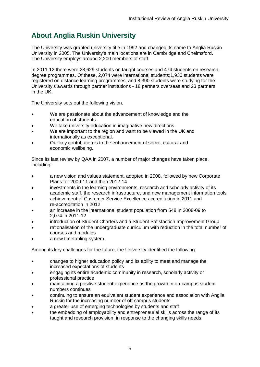## <span id="page-6-0"></span>**About Anglia Ruskin University**

The University was granted university title in 1992 and changed its name to Anglia Ruskin University in 2005. The University's main locations are in Cambridge and Chelmsford. The University employs around 2,200 members of staff.

In 2011-12 there were 28,629 students on taught courses and 474 students on research degree programmes. Of these, 2,074 were international students;1,930 students were registered on distance learning programmes; and 8,390 students were studying for the University's awards through partner institutions - 18 partners overseas and 23 partners in the UK.

The University sets out the following vision.

- We are passionate about the advancement of knowledge and the education of students.
- We take university education in imaginative new directions.
- We are important to the region and want to be viewed in the UK and internationally as exceptional.
- Our key contribution is to the enhancement of social, cultural and economic wellbeing.

Since its last review by QAA in 2007, a number of major changes have taken place, including:

- a new vision and values statement, adopted in 2008, followed by new Corporate Plans for 2009-11 and then 2012-14
- investments in the learning environments, research and scholarly activity of its academic staff, the research infrastructure, and new management information tools
- achievement of Customer Service Excellence accreditation in 2011 and re-accreditation in 2012
- an increase in the international student population from 548 in 2008-09 to 2,074 in 2011-12
- introduction of Student Charters and a Student Satisfaction Improvement Group
- rationalisation of the undergraduate curriculum with reduction in the total number of courses and modules
- a new timetabling system.

Among its key challenges for the future, the University identified the following:

- changes to higher education policy and its ability to meet and manage the increased expectations of students
- engaging its entire academic community in research, scholarly activity or professional practice
- maintaining a positive student experience as the growth in on-campus student numbers continues
- continuing to ensure an equivalent student experience and association with Anglia Ruskin for the increasing number of off-campus students
- a greater use of emerging technologies by students and staff
- the embedding of employability and entrepreneurial skills across the range of its taught and research provision, in response to the changing skills needs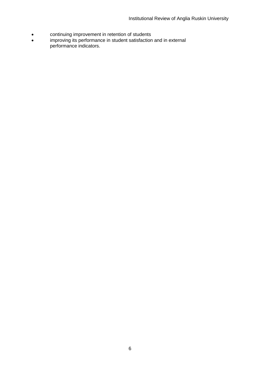- continuing improvement in retention of students
- improving its performance in student satisfaction and in external performance indicators.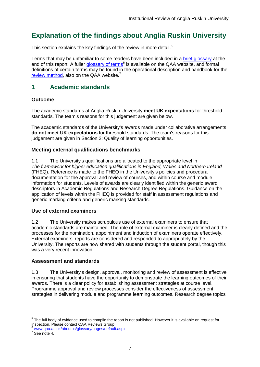## <span id="page-8-0"></span>**Explanation of the findings about Anglia Ruskin University**

This section explains the key findings of the review in more detail.<sup>5</sup>

Terms that may be unfamiliar to some readers have been included in a [brief glossary](#page-19-0) at the end of this report. A fuller [glossary of](http://www.qaa.ac.uk/AboutUs/glossary/Pages/default.aspx) terms<sup>6</sup> is available on the QAA website, and formal definitions of certain terms may be found in the operational description and handbook for the [review method,](http://www.qaa.ac.uk/InstitutionReports/types-of-review/IRENI/Pages/default.aspx) also on the QAA website.<sup>7</sup>

## <span id="page-8-1"></span>**1 Academic standards**

#### <span id="page-8-2"></span>**Outcome**

The academic standards at Anglia Ruskin University **meet UK expectations** for threshold standards. The team's reasons for this judgement are given below.

The academic standards of the University's awards made under collaborative arrangements **do not meet UK expectations** for threshold standards. The team's reasons for this judgement are given in Section 2: Quality of learning opportunities.

#### <span id="page-8-3"></span>**Meeting external qualifications benchmarks**

1.1 The University's qualifications are allocated to the appropriate level in *The framework for higher education qualifications in England, Wales and Northern Ireland* (FHEQ). Reference is made to the FHEQ in the University's policies and procedural documentation for the approval and review of courses, and within course and module information for students. Levels of awards are clearly identified within the generic award descriptors in Academic Regulations and Research Degree Regulations. Guidance on the application of levels within the FHEQ is provided for staff in assessment regulations and generic marking criteria and generic marking standards.

#### <span id="page-8-4"></span>**Use of external examiners**

1.2 The University makes scrupulous use of external examiners to ensure that academic standards are maintained. The role of external examiner is clearly defined and the processes for the nomination, appointment and induction of examiners operate effectively. External examiners' reports are considered and responded to appropriately by the University. The reports are now shared with students through the student portal, though this was a very recent innovation.

#### <span id="page-8-5"></span>**Assessment and standards**

1.3 The University's design, approval, monitoring and review of assessment is effective in ensuring that students have the opportunity to demonstrate the learning outcomes of their awards. There is a clear policy for establishing assessment strategies at course level. Programme approval and review processes consider the effectiveness of assessment strategies in delivering module and programme learning outcomes. Research degree topics

-

<sup>&</sup>lt;sup>5</sup> The full body of evidence used to compile the report is not published. However it is available on request for inspection. Please contact QAA Reviews Group.

[www.qaa.ac.uk/aboutus/glossary/pages/default.aspx](http://www.qaa.ac.uk/aboutus/glossary/pages/default.aspx)

 $7$  See note 4.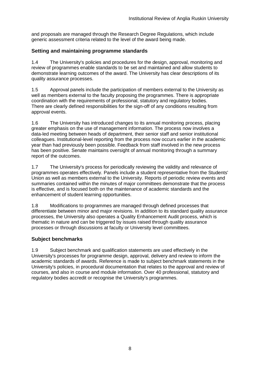and proposals are managed through the Research Degree Regulations, which include generic assessment criteria related to the level of the award being made.

#### <span id="page-9-0"></span>**Setting and maintaining programme standards**

1.4 The University's policies and procedures for the design, approval, monitoring and review of programmes enable standards to be set and maintained and allow students to demonstrate learning outcomes of the award. The University has clear descriptions of its quality assurance processes.

1.5 Approval panels include the participation of members external to the University as well as members external to the faculty proposing the programmes. There is appropriate coordination with the requirements of professional, statutory and regulatory bodies. There are clearly defined responsibilities for the sign-off of any conditions resulting from approval events.

1.6 The University has introduced changes to its annual monitoring process, placing greater emphasis on the use of management information. The process now involves a data-led meeting between heads of department, their senior staff and senior institutional colleagues. Institutional-level reporting from the process now occurs earlier in the academic year than had previously been possible. Feedback from staff involved in the new process has been positive. Senate maintains oversight of annual monitoring through a summary report of the outcomes.

1.7 The University's process for periodically reviewing the validity and relevance of programmes operates effectively. Panels include a student representative from the Students' Union as well as members external to the University. Reports of periodic review events and summaries contained within the minutes of major committees demonstrate that the process is effective, and is focused both on the maintenance of academic standards and the enhancement of student learning opportunities.

1.8 Modifications to programmes are managed through defined processes that differentiate between minor and major revisions. In addition to its standard quality assurance processes, the University also operates a Quality Enhancement Audit process, which is thematic in nature and can be triggered by issues raised through quality assurance processes or through discussions at faculty or University level committees.

#### <span id="page-9-1"></span>**Subject benchmarks**

1.9 Subject benchmark and qualification statements are used effectively in the University's processes for programme design, approval, delivery and review to inform the academic standards of awards. Reference is made to subject benchmark statements in the University's policies, in procedural documentation that relates to the approval and review of courses, and also in course and module information. Over 40 professional, statutory and regulatory bodies accredit or recognise the University's programmes.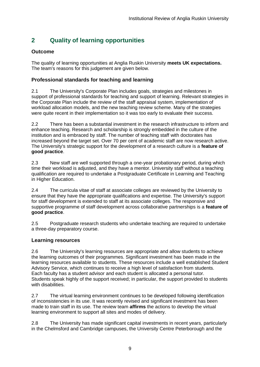## <span id="page-10-0"></span>**2 Quality of learning opportunities**

#### <span id="page-10-1"></span>**Outcome**

The quality of learning opportunities at Anglia Ruskin University **meets UK expectations.** The team's reasons for this judgement are given below.

#### <span id="page-10-2"></span>**Professional standards for teaching and learning**

2.1 The University's Corporate Plan includes goals, strategies and milestones in support of professional standards for teaching and support of learning. Relevant strategies in the Corporate Plan include the review of the staff appraisal system, implementation of workload allocation models, and the new teaching review scheme. Many of the strategies were quite recent in their implementation so it was too early to evaluate their success.

2.2 There has been a substantial investment in the research infrastructure to inform and enhance teaching. Research and scholarship is strongly embedded in the culture of the institution and is embraced by staff. The number of teaching staff with doctorates has increased beyond the target set. Over 70 per cent of academic staff are now research active. The University's strategic support for the development of a research culture is a **feature of good practice**.

2.3 New staff are well supported through a one-year probationary period, during which time their workload is adjusted, and they have a mentor. University staff without a teaching qualification are required to undertake a Postgraduate Certificate in Learning and Teaching in Higher Education.

2.4 The curricula vitae of staff at associate colleges are reviewed by the University to ensure that they have the appropriate qualifications and expertise. The University's support for staff development is extended to staff at its associate colleges. The responsive and supportive programme of staff development across collaborative partnerships is a **feature of good practice**.

2.5 Postgraduate research students who undertake teaching are required to undertake a three-day preparatory course.

#### <span id="page-10-3"></span>**Learning resources**

2.6 The University's learning resources are appropriate and allow students to achieve the learning outcomes of their programmes. Significant investment has been made in the learning resources available to students. These resources include a well established Student Advisory Service, which continues to receive a high level of satisfaction from students. Each faculty has a student advisor and each student is allocated a personal tutor. Students speak highly of the support received; in particular, the support provided to students with disabilities.

2.7 The virtual learning environment continues to be developed following identification of inconsistencies in its use. It was recently revised and significant investment has been made to train staff in its use. The review team **affirms** the actions to develop the virtual learning environment to support all sites and modes of delivery.

2.8 The University has made significant capital investments in recent years, particularly in the Chelmsford and Cambridge campuses, the University Centre Peterborough and the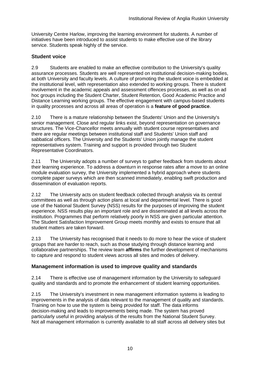University Centre Harlow, improving the learning environment for students. A number of initiatives have been introduced to assist students to make effective use of the library service. Students speak highly of the service.

#### <span id="page-11-0"></span>**Student voice**

<span id="page-11-2"></span>2.9 Students are enabled to make an effective contribution to the University's quality assurance processes. Students are well represented on institutional decision-making bodies, at both University and faculty levels. A culture of promoting the student voice is embedded at the institutional level, with representation also extended to working groups. There is student involvement in the academic appeals and assessment offences processes, as well as on ad hoc groups including the Student Charter, Student Retention, Good Academic Practice and Distance Learning working groups. The effective engagement with campus-based students in quality processes and across all areas of operation is a **feature of good practice**.

2.10 There is a mature relationship between the Students' Union and the University's senior management. Close and regular links exist, beyond representation on governance structures. The Vice-Chancellor meets annually with student course representatives and there are regular meetings between institutional staff and Students' Union staff and sabbatical officers. The University and the Students' Union jointly manage the student representatives system. Training and support is provided through two Student Representative Coordinators.

2.11 The University adopts a number of surveys to gather feedback from students about their learning experience. To address a downturn in response rates after a move to an online module evaluation survey, the University implemented a hybrid approach where students complete paper surveys which are then scanned immediately, enabling swift production and dissemination of evaluation reports.

2.12 The University acts on student feedback collected through analysis via its central committees as well as through action plans at local and departmental level. There is good use of the National Student Survey (NSS) results for the purposes of improving the student experience. NSS results play an important role and are disseminated at all levels across the institution. Programmes that perform relatively poorly in NSS are given particular attention. The Student Satisfaction Improvement Group meets monthly and exists to ensure that all student matters are taken forward.

2.13 The University has recognised that it needs to do more to hear the voice of student groups that are harder to reach, such as those studying through distance learning and collaborative partnerships. The review team **affirms** the further development of mechanisms to capture and respond to student views across all sites and modes of delivery.

#### <span id="page-11-1"></span>**Management information is used to improve quality and standards**

2.14 There is effective use of management information by the University to safeguard quality and standards and to promote the enhancement of student learning opportunities.

2.15 The University's investment in new management information systems is leading to improvements in the analysis of data relevant to the management of quality and standards. Training on how to use the system is being provided for staff. The data informs decision-making and leads to improvements being made. The system has proved particularly useful in providing analysis of the results from the National Student Survey. Not all management information is currently available to all staff across all delivery sites but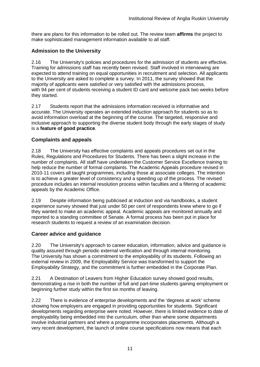there are plans for this information to be rolled out. The review team **affirms** the project to make sophisticated management information available to all staff.

#### <span id="page-12-0"></span>**Admission to the University**

2.16 The University's policies and procedures for the admission of students are effective. Training for admissions staff has recently been revised. Staff involved in interviewing are expected to attend training on equal opportunities in recruitment and selection. All applicants to the University are asked to complete a survey. In 2011, the survey showed that the majority of applicants were satisfied or very satisfied with the admissions process, with 94 per cent of students receiving a student ID card and welcome pack two weeks before they started.

2.17 Students report that the admissions information received is informative and accurate. The University operates an extended induction approach for students so as to avoid information overload at the beginning of the course. The targeted, responsive and inclusive approach to supporting the diverse student body through the early stages of study is a **feature of good practice**.

#### <span id="page-12-1"></span>**Complaints and appeals**

2.18 The University has effective complaints and appeals procedures set out in the Rules, Regulations and Procedures for Students. There has been a slight increase in the number of complaints. All staff have undertaken the Customer Service Excellence training to help reduce the number of formal complaints. The Academic Appeals procedure revised in 2010-11 covers all taught programmes, including those at associate colleges. The intention is to achieve a greater level of consistency and a speeding up of the process. The revised procedure includes an internal resolution process within faculties and a filtering of academic appeals by the Academic Office.

2.19 Despite information being publicised at induction and via handbooks, a student experience survey showed that just under 50 per cent of respondents knew where to go if they wanted to make an academic appeal. Academic appeals are monitored annually and reported to a standing committee of Senate. A formal process has been put in place for research students to request a review of an examination decision.

#### <span id="page-12-2"></span>**Career advice and guidance**

2.20 The University's approach to career education, information, advice and guidance is quality assured through periodic external verification and through internal monitoring. The University has shown a commitment to the employability of its students. Following an external review in 2009, the Employability Service was transformed to support the Employability Strategy, and the commitment is further embedded in the Corporate Plan.

2.21 A Destination of Leavers from Higher Education survey showed good results, demonstrating a rise in both the number of full and part-time students gaining employment or beginning further study within the first six months of leaving.

2.22 There is evidence of enterprise developments and the 'degrees at work' scheme showing how employers are engaged in providing opportunities for students. Significant developments regarding enterprise were noted. However, there is limited evidence to date of employability being embedded into the curriculum, other than where some departments involve industrial partners and where a programme incorporates placements. Although a very recent development, the launch of online course specifications now means that each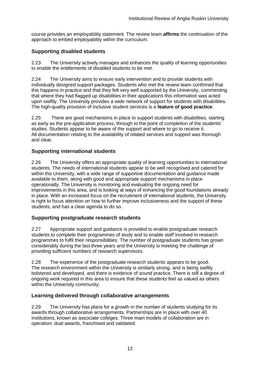course provides an employability statement. The review team **affirms** the continuation of the approach to embed employability within the curriculum.

#### <span id="page-13-0"></span>**Supporting disabled students**

2.23 The University actively manages and enhances the quality of learning opportunities to enable the entitlements of disabled students to be met.

2.24 The University aims to ensure early intervention and to provide students with individually designed support packages. Students who met the review team confirmed that this happens in practice and that they felt very well supported by the University, commenting that where they had flagged up disabilities in their applications this information was acted upon swiftly. The University provides a wide network of support for students with disabilities. The high-quality provision of inclusive student services is a **feature of good practice**.

2.25 There are good mechanisms in place to support students with disabilities, starting as early as the pre-application process, through to the point of completion of the students' studies. Students appear to be aware of the support and where to go to receive it. All documentation relating to the availability of related services and support was thorough and clear.

#### <span id="page-13-1"></span>**Supporting international students**

2.26 The University offers an appropriate quality of learning opportunities to international students. The needs of international students appear to be well recognised and catered for within the University, with a wide range of supportive documentation and guidance made available to them, along with good and appropriate support mechanisms in place operationally. The University is monitoring and evaluating the ongoing need for improvements in this area, and is looking at ways of enhancing the good foundations already in place. With an increased focus on the recruitment of international students, the University is right to focus attention on how to further improve inclusiveness and the support of these students, and has a clear agenda to do so.

#### <span id="page-13-2"></span>**Supporting postgraduate research students**

2.27 Appropriate support and quidance is provided to enable postgraduate research students to complete their programmes of study and to enable staff involved in research programmes to fulfil their responsibilities. The number of postgraduate students has grown considerably during the last three years and the University is meeting the challenge of providing sufficient numbers of research supervisors.

2.28 The experience of the postgraduate research students appears to be good. The research environment within the University is similarly strong, and is being swiftly bolstered and developed, and there is evidence of sound practice. There is still a degree of ongoing work required in this area to ensure that these students feel as valued as others within the University community.

#### <span id="page-13-3"></span>**Learning delivered through collaborative arrangements**

2.29 The University has plans for a growth in the number of students studying for its awards through collaborative arrangements. Partnerships are in place with over 40 institutions, known as associate colleges. Three main models of collaboration are in operation: dual awards, franchised and validated.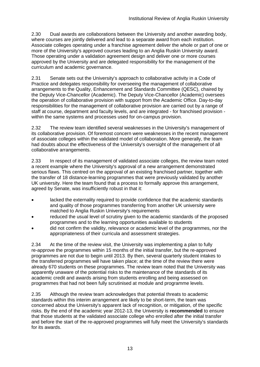2.30 Dual awards are collaborations between the University and another awarding body, where courses are jointly delivered and lead to a separate award from each institution. Associate colleges operating under a franchise agreement deliver the whole or part of one or more of the University's approved courses leading to an Anglia Ruskin University award. Those operating under a validation agreement design and deliver one or more courses approved by the University and are delegated responsibility for the management of the curriculum and academic governance.

2.31 Senate sets out the University's approach to collaborative activity in a Code of Practice and delegates responsibility for overseeing the management of collaborative arrangements to the Quality, Enhancement and Standards Committee (QESC), chaired by the Deputy Vice-Chancellor (Academic). The Deputy Vice-Chancellor (Academic) oversees the operation of collaborative provision with support from the Academic Office. Day-to-day responsibilities for the management of collaborative provision are carried out by a range of staff at course, department and faculty levels, and are integrated - for franchised provision within the same systems and processes used for on-campus provision.

2.32 The review team identified several weaknesses in the University's management of its collaborative provision. Of foremost concern were weaknesses in the recent management of associate colleges within the validated model of collaboration. More generally, the team had doubts about the effectiveness of the University's oversight of the management of all collaborative arrangements.

2.33 In respect of its management of validated associate colleges, the review team noted a recent example where the University's approval of a new arrangement demonstrated serious flaws. This centred on the approval of an existing franchised partner, together with the transfer of 18 distance-learning programmes that were previously validated by another UK university. Here the team found that a process to formally approve this arrangement, agreed by Senate, was insufficiently robust in that it:

- lacked the externality required to provide confidence that the academic standards and quality of those programmes transferring from another UK university were matched to Anglia Ruskin University's requirements
- reduced the usual level of scrutiny given to the academic standards of the proposed programmes and to the learning opportunities available to students
- did not confirm the validity, relevance or academic level of the programmes, nor the appropriateness of their curricula and assessment strategies.

2.34 At the time of the review visit, the University was implementing a plan to fully re-approve the programmes within 15 months of the initial transfer, but the re-approved programmes are not due to begin until 2013. By then, several quarterly student intakes to the transferred programmes will have taken place; at the time of the review there were already 670 students on these programmes. The review team noted that the University was apparently unaware of the potential risks to the maintenance of the standards of its academic credit and awards arising from students enrolling and being assessed on programmes that had not been fully scrutinised at module and programme levels.

2.35 Although the review team acknowledges that potential threats to academic standards within this interim arrangement are likely to be short-term, the team was concerned about the University's apparent lack of recognition, or mitigation, of the specific risks. By the end of the academic year 2012-13, the University is **recommended** to ensure that those students at the validated associate college who enrolled after the initial transfer and before the start of the re-approved programmes will fully meet the University's standards for its awards.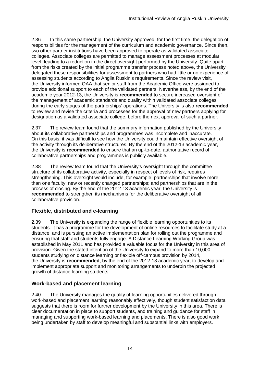2.36 In this same partnership, the University approved, for the first time, the delegation of responsibilities for the management of the curriculum and academic governance. Since then, two other partner institutions have been approved to operate as validated associate colleges. Associate colleges are permitted to manage assessment processes at modular level, leading to a reduction in the direct oversight performed by the University. Quite apart from the risks created by the initial programme transfer process noted above, the University delegated these responsibilities for assessment to partners who had little or no experience of assessing students according to Anglia Ruskin's requirements. Since the review visit, the University informed QAA that senior staff from the Academic Office were assigned to provide additional support to each of the validated partners. Nevertheless, by the end of the academic year 2012-13, the University is **recommended** to secure increased oversight of the management of academic standards and quality within validated associate colleges during the early stages of the partnerships' operations. The University is also **recommended** to review and revise the criteria and processes for the approval of new partners applying for designation as a validated associate college, before the next approval of such a partner.

2.37 The review team found that the summary information published by the University about its collaborative partnerships and programmes was incomplete and inaccurate. On this basis, it was difficult to see how the University could maintain effective oversight of the activity through its deliberative structures. By the end of the 2012-13 academic year, the University is **recommended** to ensure that an up-to-date, authoritative record of collaborative partnerships and programmes is publicly available.

2.38 The review team found that the University's oversight through the committee structure of its collaborative activity, especially in respect of levels of risk, requires strengthening. This oversight would include, for example, partnerships that involve more than one faculty; new or recently changed partnerships; and partnerships that are in the process of closing. By the end of the 2012-13 academic year, the University is **recommended** to strengthen its mechanisms for the deliberative oversight of all collaborative provision.

#### <span id="page-15-0"></span>**Flexible, distributed and e-learning**

2.39 The University is expanding the range of flexible learning opportunities to its students. It has a programme for the development of online resources to facilitate study at a distance, and is pursuing an active implementation plan for rolling out the programme and ensuring that staff and students fully engage. A Distance Learning Working Group was established in May 2011 and has provided a valuable focus for the University in this area of provision. Given the stated intention of the University to expand to more than 10,000 students studying on distance learning or flexible off-campus provision by 2014, the University is **recommended**, by the end of the 2012-13 academic year, to develop and implement appropriate support and monitoring arrangements to underpin the projected growth of distance learning students.

#### <span id="page-15-1"></span>**Work-based and placement learning**

2.40 The University manages the quality of learning opportunities delivered through work-based and placement learning reasonably effectively, though student satisfaction data suggests that there is room for further development by the University in this area. There is clear documentation in place to support students, and training and guidance for staff in managing and supporting work-based learning and placements. There is also good work being undertaken by staff to develop meaningful and substantial links with employers.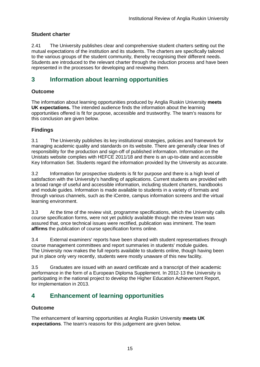#### <span id="page-16-0"></span>**Student charter**

2.41 The University publishes clear and comprehensive student charters setting out the mutual expectations of the institution and its students. The charters are specifically tailored to the various groups of the student community, thereby recognising their different needs. Students are introduced to the relevant charter through the induction process and have been represented in the processes for developing and reviewing them.

### <span id="page-16-1"></span>**3 Information about learning opportunities**

#### <span id="page-16-2"></span>**Outcome**

The information about learning opportunities produced by Anglia Ruskin University **meets UK expectations.** The intended audience finds the information about the learning opportunities offered is fit for purpose, accessible and trustworthy. The team's reasons for this conclusion are given below.

#### <span id="page-16-3"></span>**Findings**

3.1 The University publishes its key institutional strategies, policies and framework for managing academic quality and standards on its website. There are generally clear lines of responsibility for the production and sign-off of published information. Information on the Unistats website complies with HEFCE 2011/18 and there is an up-to-date and accessible Key Information Set. Students regard the information provided by the University as accurate.

3.2 Information for prospective students is fit for purpose and there is a high level of satisfaction with the University's handling of applications. Current students are provided with a broad range of useful and accessible information, including student charters, handbooks and module guides. Information is made available to students in a variety of formats and through various channels, such as the iCentre, campus information screens and the virtual learning environment.

3.3 At the time of the review visit, programme specifications, which the University calls course specification forms, were not yet publicly available though the review team was assured that, once technical issues were rectified, publication was imminent. The team **affirms** the publication of course specification forms online.

3.4 External examiners' reports have been shared with student representatives through course management committees and report summaries in students' module guides. The University now makes the full reports available to students online, though having been put in place only very recently, students were mostly unaware of this new facility.

3.5 Graduates are issued with an award certificate and a transcript of their academic performance in the form of a European Diploma Supplement. In 2012-13 the University is participating in the national project to develop the Higher Education Achievement Report, for implementation in 2013.

## <span id="page-16-4"></span>**4 Enhancement of learning opportunities**

#### <span id="page-16-5"></span>**Outcome**

The enhancement of learning opportunities at Anglia Ruskin University **meets UK expectations**. The team's reasons for this judgement are given below.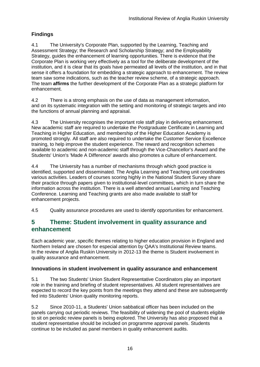### <span id="page-17-0"></span>**Findings**

4.1 The University's Corporate Plan, supported by the Learning, Teaching and Assessment Strategy; the Research and Scholarship Strategy; and the Employability Strategy, guides the enhancement of learning opportunities. There is evidence that the Corporate Plan is working very effectively as a tool for the deliberate development of the institution, and it is clear that its goals have permeated all levels of the institution, and in that sense it offers a foundation for embedding a strategic approach to enhancement. The review team saw some indications, such as the teacher review scheme, of a strategic approach. The team **affirms** the further development of the Corporate Plan as a strategic platform for enhancement.

4.2 There is a strong emphasis on the use of data as management information, and on its systematic integration with the setting and monitoring of strategic targets and into the functions of annual planning and appraisal.

4.3 The University recognises the important role staff play in delivering enhancement. New academic staff are required to undertake the Postgraduate Certificate in Learning and Teaching in Higher Education, and membership of the Higher Education Academy is promoted strongly. All staff are also required to undertake the Customer Service Excellence training, to help improve the student experience. The reward and recognition schemes available to academic and non-academic staff through the Vice-Chancellor's Award and the Students' Union's 'Made A Difference' awards also promotes a culture of enhancement.

4.4 The University has a number of mechanisms through which good practice is identified, supported and disseminated. The Anglia Learning and Teaching unit coordinates various activities. Leaders of courses scoring highly in the National Student Survey share their practice through papers given to institutional-level committees, which in turn share the information across the institution. There is a well attended annual Learning and Teaching Conference. Learning and Teaching grants are also made available to staff for enhancement projects.

4.5 Quality assurance procedures are used to identify opportunities for enhancement.

### <span id="page-17-1"></span>**5 Theme: Student involvement in quality assurance and enhancement**

Each academic year, specific themes relating to higher education provision in England and Northern Ireland are chosen for especial attention by QAA's Institutional Review teams. In the review of Anglia Ruskin University in 2012-13 the theme is Student involvement in quality assurance and enhancement.

#### <span id="page-17-2"></span>**Innovations in student involvement in quality assurance and enhancement**

5.1 The two Students' Union Student Representative Coordinators play an important role in the training and briefing of student representatives. All student representatives are expected to record the key points from the meetings they attend and these are subsequently fed into Students' Union quality monitoring reports.

5.2 Since 2010-11, a Students' Union sabbatical officer has been included on the panels carrying out periodic reviews. The feasibility of widening the pool of students eligible to sit on periodic review panels is being explored. The University has also proposed that a student representative should be included on programme approval panels. Students continue to be included as panel members in quality enhancement audits.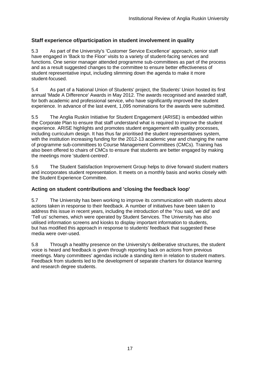#### <span id="page-18-0"></span>**Staff experience of/participation in student involvement in quality**

5.3 As part of the University's 'Customer Service Excellence' approach, senior staff have engaged in 'Back to the Floor' visits to a variety of student-facing services and functions. One senior manager attended programme sub-committees as part of the process and as a result suggested changes to the committee to ensure better effectiveness of student representative input, including slimming down the agenda to make it more student-focused.

5.4 As part of a National Union of Students' project, the Students' Union hosted its first annual 'Made A Difference' Awards in May 2012. The awards recognised and awarded staff, for both academic and professional service, who have significantly improved the student experience. In advance of the last event, 1,095 nominations for the awards were submitted.

5.5 The Anglia Ruskin Initiative for Student Engagement (ARISE) is embedded within the Corporate Plan to ensure that staff understand what is required to improve the student experience. ARISE highlights and promotes student engagement with quality processes, including curriculum design. It has thus far prioritised the student representatives system, with the institution increasing funding for the 2012-13 academic year and changing the name of programme sub-committees to Course Management Committees (CMCs). Training has also been offered to chairs of CMCs to ensure that students are better engaged by making the meetings more 'student-centred'.

5.6 The Student Satisfaction Improvement Group helps to drive forward student matters and incorporates student representation. It meets on a monthly basis and works closely with the Student Experience Committee.

#### <span id="page-18-1"></span>**Acting on student contributions and 'closing the feedback loop'**

5.7 The University has been working to improve its communication with students about actions taken in response to their feedback. A number of initiatives have been taken to address this issue in recent years, including the introduction of the 'You said, we did' and 'Tell us' schemes, which were operated by Student Services. The University has also utilised information screens and kiosks to display important information to students, but has modified this approach in response to students' feedback that suggested these media were over-used.

5.8 Through a healthy presence on the University's deliberative structures, the student voice is heard and feedback is given through reporting back on actions from previous meetings. Many committees' agendas include a standing item in relation to student matters. Feedback from students led to the development of separate charters for distance learning and research degree students.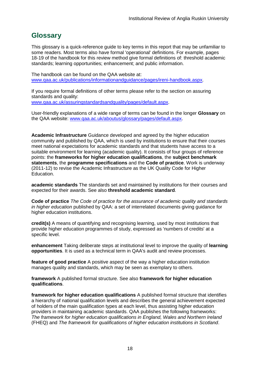## <span id="page-19-0"></span>**Glossary**

This glossary is a quick-reference guide to key terms in this report that may be unfamiliar to some readers. Most terms also have formal 'operational' definitions. For example, pages 18-19 of the handbook for this review method give formal definitions of: threshold academic standards; learning opportunities; enhancement; and public information.

The handbook can be found on the QAA website at: [www.qaa.ac.uk/publications/informationandguidance/pages/ireni-handbook.aspx.](http://www.qaa.ac.uk/publications/informationandguidance/pages/ireni-handbook.aspx)

If you require formal definitions of other terms please refer to the section on assuring standards and quality: [www.qaa.ac.uk/assuringstandardsandquality/pages/default.aspx.](http://www.qaa.ac.uk/assuringstandardsandquality/pages/default.aspx)

User-friendly explanations of a wide range of terms can be found in the longer **Glossary** on the QAA website: [www.qaa.ac.uk/aboutus/glossary/pages/default.aspx.](http://www.qaa.ac.uk/aboutus/glossary/pages/default.aspx)

**Academic Infrastructure** Guidance developed and agreed by the higher education community and published by QAA, which is used by institutions to ensure that their courses meet national expectations for academic standards and that students have access to a suitable environment for learning (academic quality). It consists of four groups of reference points: the **frameworks for higher education qualifications**, the **subject benchmark statements**, the **programme specifications** and the **[Code of practice](http://www.qaa.ac.uk/AboutUs/glossary/Pages/glossary-c.aspx#c2)**. Work is underway (2011-12) to revise the Academic Infrastructure as the UK [Quality Code](http://www.qaa.ac.uk/AboutUs/glossary/Pages/glossary-q.aspx#q5) for Higher Education.

**academic standards** The standards set and maintained by institutions for their courses and expected for their awards. See also **threshold academic standard**.

**Code of practice** *The Code of practice for the assurance of academic quality and standards in higher education* published by QAA: a set of interrelated documents giving guidance for higher education institutions.

**credit(s)** A means of quantifying and recognising learning, used by most institutions that provide higher education programmes of study, expressed as 'numbers of credits' at a specific level.

**enhancement** Taking deliberate steps at institutional level to improve the quality of **[learning](http://www.qaa.ac.uk/aboutus/glossary/pages/glossary-l.aspx#l1)  [opportunities](http://www.qaa.ac.uk/aboutus/glossary/pages/glossary-l.aspx#l1)**. It is used as a technical term in QAA's audit and review processes.

**feature of good practice** A positive aspect of the way a higher education institution manages quality and standards, which may be seen as exemplary to others.

**framework** A published formal structure. See also **framework for higher education qualifications**.

**framework for higher education qualifications** A published formal structure that identifies a hierarchy of national qualification levels and describes the general achievement expected of holders of the main qualification types at each level, thus assisting higher education providers in maintaining academic standards. QAA publishes the following frameworks: *The framework for higher education qualifications in England, Wales and Northern Ireland* (FHEQ) and *The framework for qualifications of higher education institutions in Scotland*.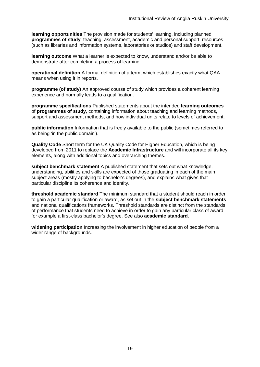**learning opportunities** The provision made for students' learning, including planned **[programmes](http://newlive.qaa.ac.uk/aboutus/glossary/pages/glossary-p.aspx#p12) of study**, teaching, assessment, academic and personal support, resources (such as libraries and information systems, laboratories or studios) and staff development.

**learning outcome** What a learner is expected to know, understand and/or be able to demonstrate after completing a process of learning.

**operational definition** A formal definition of a term, which establishes exactly what QAA means when using it in reports.

**programme (of study)** An approved course of study which provides a coherent learning experience and normally leads to a qualification.

**programme specifications** Published statements about the intended **[learning outcomes](http://newlive.qaa.ac.uk/aboutus/glossary/pages/glossary-l.aspx#l2)** of **programmes of study**, containing information about teaching and learning methods, support and assessment methods, and how individual units relate to levels of achievement.

**public information** Information that is freely available to the public (sometimes referred to as being 'in the public domain').

**Quality Code** Short term for the UK Quality Code for Higher Education, which is being developed from 2011 to replace the **[Academic Infrastructure](http://newlive.qaa.ac.uk/aboutus/glossary/pages/glossary-a.aspx#a1)** and will incorporate all its key elements, along with additional topics and overarching themes.

**subject benchmark statement** A published statement that sets out what knowledge, understanding, abilities and skills are expected of those graduating in each of the main subject areas (mostly applying to [bachelor's degrees\)](http://newlive.qaa.ac.uk/aboutus/glossary/pages/glossary-b/aspx#b1), and explains what gives that particular discipline its coherence and identity.

**threshold academic standard** The minimum standard that a student should reach in order to gain a particular qualification or award, as set out in the **[subject benchmark statements](http://newlive.qaa.ac.uk/aboutus/glossary/pages/glossary-s.aspx#s7)** and national [qualifications frameworks.](http://newlive.qaa.ac.uk/aboutus/glossary/pages/glossary-q.aspx#q3) Threshold standards are distinct from the standards of performance that students need to achieve in order to gain any particular class of award, for example a first-class bachelor's degree. See also **[academic standard](http://newlive.qaa.ac.uk/aboutus/glossary/pages/glossary-a.aspx#a3)**.

**widening participation** Increasing the involvement in higher education of people from a wider range of backgrounds.